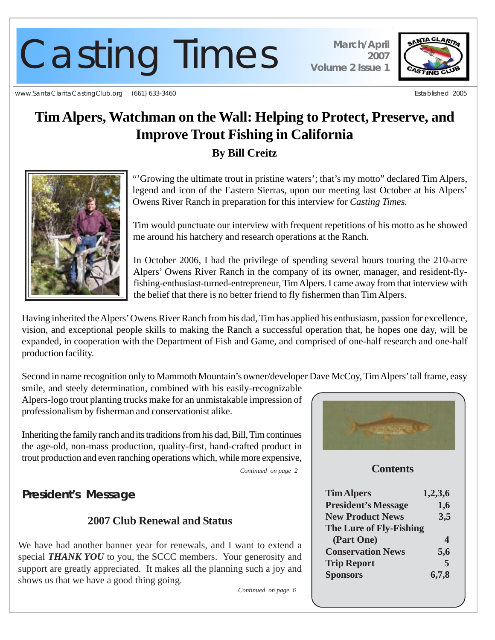# Casting Times **March/April**

www.SantaClaritaCastingClub.org (661) 633-3460 **Established 2005** Established 2005

*2007 Volume 2 Issue 1*



# **Tim Alpers, Watchman on the Wall: Helping to Protect, Preserve, and Improve Trout Fishing in California**

**By Bill Creitz**



"'Growing the ultimate trout in pristine waters'; that's my motto" declared Tim Alpers, legend and icon of the Eastern Sierras, upon our meeting last October at his Alpers' Owens River Ranch in preparation for this interview for *Casting Times.*

Tim would punctuate our interview with frequent repetitions of his motto as he showed me around his hatchery and research operations at the Ranch.

In October 2006, I had the privilege of spending several hours touring the 210-acre Alpers' Owens River Ranch in the company of its owner, manager, and resident-flyfishing-enthusiast-turned-entrepreneur, Tim Alpers. I came away from that interview with the belief that there is no better friend to fly fishermen than Tim Alpers.

Having inherited the Alpers' Owens River Ranch from his dad, Tim has applied his enthusiasm, passion for excellence, vision, and exceptional people skills to making the Ranch a successful operation that, he hopes one day, will be expanded, in cooperation with the Department of Fish and Game, and comprised of one-half research and one-half production facility.

Second in name recognition only to Mammoth Mountain's owner/developer Dave McCoy, Tim Alpers' tall frame, easy

smile, and steely determination, combined with his easily-recognizable Alpers-logo trout planting trucks make for an unmistakable impression of professionalism by fisherman and conservationist alike.

Inheriting the family ranch and its traditions from his dad, Bill, Tim continues the age-old, non-mass production, quality-first, hand-crafted product in trout production and even ranching operations which, while more expensive,

*Continued on page 2*

# *President's Message*

# **2007 Club Renewal and Status**

We have had another banner year for renewals, and I want to extend a special **THANK YOU** to you, the SCCC members. Your generosity and support are greatly appreciated. It makes all the planning such a joy and shows us that we have a good thing going.

*Continued on page 6*



## **Contents**

| <b>Tim Alpers</b>          | 1,2,3,6 |
|----------------------------|---------|
| <b>President's Message</b> | 1,6     |
| <b>New Product News</b>    | 3,5     |
| The Lure of Fly-Fishing    |         |
| (Part One)                 | 4       |
| <b>Conservation News</b>   | 5,6     |
| <b>Trip Report</b>         | 5       |
| <b>Sponsors</b>            | 6,7,8   |
|                            |         |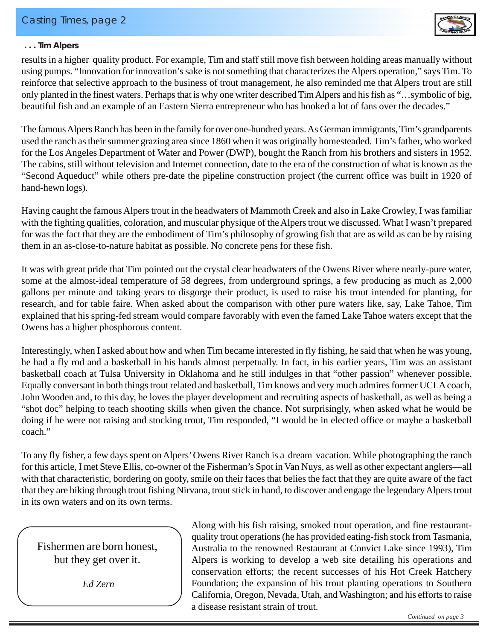

#### *. . . Tim Alpers*

results in a higher quality product. For example, Tim and staff still move fish between holding areas manually without using pumps. "Innovation for innovation's sake is not something that characterizes the Alpers operation," says Tim. To reinforce that selective approach to the business of trout management, he also reminded me that Alpers trout are still only planted in the finest waters. Perhaps that is why one writer described Tim Alpers and his fish as "…symbolic of big, beautiful fish and an example of an Eastern Sierra entrepreneur who has hooked a lot of fans over the decades."

The famous Alpers Ranch has been in the family for over one-hundred years. As German immigrants, Tim's grandparents used the ranch as their summer grazing area since 1860 when it was originally homesteaded. Tim's father, who worked for the Los Angeles Department of Water and Power (DWP), bought the Ranch from his brothers and sisters in 1952. The cabins, still without television and Internet connection, date to the era of the construction of what is known as the "Second Aqueduct" while others pre-date the pipeline construction project (the current office was built in 1920 of hand-hewn logs).

Having caught the famous Alpers trout in the headwaters of Mammoth Creek and also in Lake Crowley, I was familiar with the fighting qualities, coloration, and muscular physique of the Alpers trout we discussed. What I wasn't prepared for was the fact that they are the embodiment of Tim's philosophy of growing fish that are as wild as can be by raising them in an as-close-to-nature habitat as possible. No concrete pens for these fish.

It was with great pride that Tim pointed out the crystal clear headwaters of the Owens River where nearly-pure water, some at the almost-ideal temperature of 58 degrees, from underground springs, a few producing as much as 2,000 gallons per minute and taking years to disgorge their product, is used to raise his trout intended for planting, for research, and for table faire. When asked about the comparison with other pure waters like, say, Lake Tahoe, Tim explained that his spring-fed stream would compare favorably with even the famed Lake Tahoe waters except that the Owens has a higher phosphorous content.

Interestingly, when I asked about how and when Tim became interested in fly fishing, he said that when he was young, he had a fly rod and a basketball in his hands almost perpetually. In fact, in his earlier years, Tim was an assistant basketball coach at Tulsa University in Oklahoma and he still indulges in that "other passion" whenever possible. Equally conversant in both things trout related and basketball, Tim knows and very much admires former UCLA coach, John Wooden and, to this day, he loves the player development and recruiting aspects of basketball, as well as being a "shot doc" helping to teach shooting skills when given the chance. Not surprisingly, when asked what he would be doing if he were not raising and stocking trout, Tim responded, "I would be in elected office or maybe a basketball coach."

To any fly fisher, a few days spent on Alpers' Owens River Ranch is a dream vacation. While photographing the ranch for this article, I met Steve Ellis, co-owner of the Fisherman's Spot in Van Nuys, as well as other expectant anglers—all with that characteristic, bordering on goofy, smile on their faces that belies the fact that they are quite aware of the fact that they are hiking through trout fishing Nirvana, trout stick in hand, to discover and engage the legendary Alpers trout in its own waters and on its own terms.

Fishermen are born honest, but they get over it.

 *Ed Zern*

Along with his fish raising, smoked trout operation, and fine restaurantquality trout operations (he has provided eating-fish stock from Tasmania, Australia to the renowned Restaurant at Convict Lake since 1993), Tim Alpers is working to develop a web site detailing his operations and conservation efforts; the recent successes of his Hot Creek Hatchery Foundation; the expansion of his trout planting operations to Southern California, Oregon, Nevada, Utah, and Washington; and his efforts to raise a disease resistant strain of trout.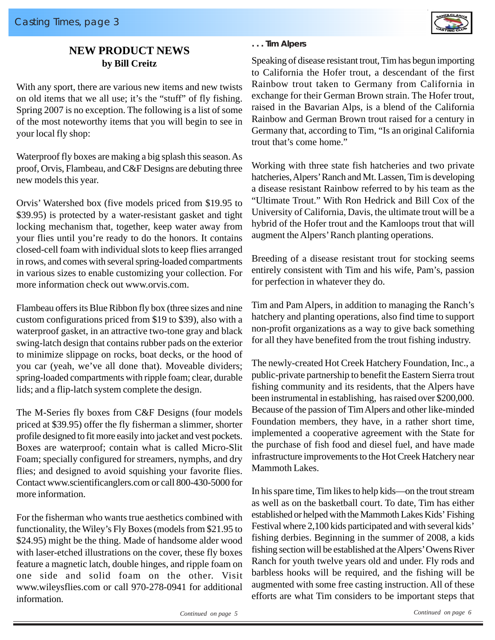

### **NEW PRODUCT NEWS by Bill Creitz**

With any sport, there are various new items and new twists on old items that we all use; it's the "stuff" of fly fishing. Spring 2007 is no exception. The following is a list of some of the most noteworthy items that you will begin to see in your local fly shop:

Waterproof fly boxes are making a big splash this season. As proof, Orvis, Flambeau, and C&F Designs are debuting three new models this year.

Orvis' Watershed box (five models priced from \$19.95 to \$39.95) is protected by a water-resistant gasket and tight locking mechanism that, together, keep water away from your flies until you're ready to do the honors. It contains closed-cell foam with individual slots to keep flies arranged in rows, and comes with several spring-loaded compartments in various sizes to enable customizing your collection. For more information check out www.orvis.com.

Flambeau offers its Blue Ribbon fly box (three sizes and nine custom configurations priced from \$19 to \$39), also with a waterproof gasket, in an attractive two-tone gray and black swing-latch design that contains rubber pads on the exterior to minimize slippage on rocks, boat decks, or the hood of you car (yeah, we've all done that). Moveable dividers; spring-loaded compartments with ripple foam; clear, durable lids; and a flip-latch system complete the design.

The M-Series fly boxes from C&F Designs (four models priced at \$39.95) offer the fly fisherman a slimmer, shorter profile designed to fit more easily into jacket and vest pockets. Boxes are waterproof; contain what is called Micro-Slit Foam; specially configured for streamers, nymphs, and dry flies; and designed to avoid squishing your favorite flies. Contact www.scientificanglers.com or call 800-430-5000 for more information.

For the fisherman who wants true aesthetics combined with functionality, the Wiley's Fly Boxes (models from \$21.95 to \$24.95) might be the thing. Made of handsome alder wood with laser-etched illustrations on the cover, these fly boxes feature a magnetic latch, double hinges, and ripple foam on one side and solid foam on the other. Visit www.wileysflies.com or call 970-278-0941 for additional information.

#### *. . . Tim Alpers*

Speaking of disease resistant trout, Tim has begun importing to California the Hofer trout, a descendant of the first Rainbow trout taken to Germany from California in exchange for their German Brown strain. The Hofer trout, raised in the Bavarian Alps, is a blend of the California Rainbow and German Brown trout raised for a century in Germany that, according to Tim, "Is an original California trout that's come home."

Working with three state fish hatcheries and two private hatcheries, Alpers' Ranch and Mt. Lassen, Tim is developing a disease resistant Rainbow referred to by his team as the "Ultimate Trout." With Ron Hedrick and Bill Cox of the University of California, Davis, the ultimate trout will be a hybrid of the Hofer trout and the Kamloops trout that will augment the Alpers' Ranch planting operations.

Breeding of a disease resistant trout for stocking seems entirely consistent with Tim and his wife, Pam's, passion for perfection in whatever they do.

Tim and Pam Alpers, in addition to managing the Ranch's hatchery and planting operations, also find time to support non-profit organizations as a way to give back something for all they have benefited from the trout fishing industry.

The newly-created Hot Creek Hatchery Foundation, Inc., a public-private partnership to benefit the Eastern Sierra trout fishing community and its residents, that the Alpers have been instrumental in establishing, has raised over \$200,000. Because of the passion of Tim Alpers and other like-minded Foundation members, they have, in a rather short time, implemented a cooperative agreement with the State for the purchase of fish food and diesel fuel, and have made infrastructure improvements to the Hot Creek Hatchery near Mammoth Lakes.

In his spare time, Tim likes to help kids—on the trout stream as well as on the basketball court. To date, Tim has either established or helped with the Mammoth Lakes Kids' Fishing Festival where 2,100 kids participated and with several kids' fishing derbies. Beginning in the summer of 2008, a kids fishing section will be established at the Alpers' Owens River Ranch for youth twelve years old and under. Fly rods and barbless hooks will be required, and the fishing will be augmented with some free casting instruction. All of these efforts are what Tim considers to be important steps that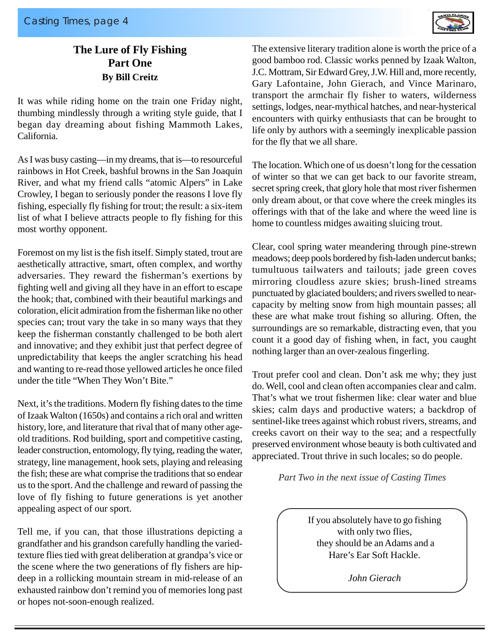

# **The Lure of Fly Fishing Part One By Bill Creitz**

It was while riding home on the train one Friday night, thumbing mindlessly through a writing style guide, that I began day dreaming about fishing Mammoth Lakes, California.

As I was busy casting—in my dreams, that is—to resourceful rainbows in Hot Creek, bashful browns in the San Joaquin River, and what my friend calls "atomic Alpers" in Lake Crowley, I began to seriously ponder the reasons I love fly fishing, especially fly fishing for trout; the result: a six-item list of what I believe attracts people to fly fishing for this most worthy opponent.

Foremost on my list is the fish itself. Simply stated, trout are aesthetically attractive, smart, often complex, and worthy adversaries. They reward the fisherman's exertions by fighting well and giving all they have in an effort to escape the hook; that, combined with their beautiful markings and coloration, elicit admiration from the fisherman like no other species can; trout vary the take in so many ways that they keep the fisherman constantly challenged to be both alert and innovative; and they exhibit just that perfect degree of unpredictability that keeps the angler scratching his head and wanting to re-read those yellowed articles he once filed under the title "When They Won't Bite."

Next, it's the traditions. Modern fly fishing dates to the time of Izaak Walton (1650s) and contains a rich oral and written history, lore, and literature that rival that of many other ageold traditions. Rod building, sport and competitive casting, leader construction, entomology, fly tying, reading the water, strategy, line management, hook sets, playing and releasing the fish; these are what comprise the traditions that so endear us to the sport. And the challenge and reward of passing the love of fly fishing to future generations is yet another appealing aspect of our sport.

Tell me, if you can, that those illustrations depicting a grandfather and his grandson carefully handling the variedtexture flies tied with great deliberation at grandpa's vice or the scene where the two generations of fly fishers are hipdeep in a rollicking mountain stream in mid-release of an exhausted rainbow don't remind you of memories long past or hopes not-soon-enough realized.

The extensive literary tradition alone is worth the price of a good bamboo rod. Classic works penned by Izaak Walton, J.C. Mottram, Sir Edward Grey, J.W. Hill and, more recently, Gary Lafontaine, John Gierach, and Vince Marinaro, transport the armchair fly fisher to waters, wilderness settings, lodges, near-mythical hatches, and near-hysterical encounters with quirky enthusiasts that can be brought to life only by authors with a seemingly inexplicable passion for the fly that we all share.

The location. Which one of us doesn't long for the cessation of winter so that we can get back to our favorite stream, secret spring creek, that glory hole that most river fishermen only dream about, or that cove where the creek mingles its offerings with that of the lake and where the weed line is home to countless midges awaiting sluicing trout.

Clear, cool spring water meandering through pine-strewn meadows; deep pools bordered by fish-laden undercut banks; tumultuous tailwaters and tailouts; jade green coves mirroring cloudless azure skies; brush-lined streams punctuated by glaciated boulders; and rivers swelled to nearcapacity by melting snow from high mountain passes; all these are what make trout fishing so alluring. Often, the surroundings are so remarkable, distracting even, that you count it a good day of fishing when, in fact, you caught nothing larger than an over-zealous fingerling.

Trout prefer cool and clean. Don't ask me why; they just do. Well, cool and clean often accompanies clear and calm. That's what we trout fishermen like: clear water and blue skies; calm days and productive waters; a backdrop of sentinel-like trees against which robust rivers, streams, and creeks cavort on their way to the sea; and a respectfully preserved environment whose beauty is both cultivated and appreciated. Trout thrive in such locales; so do people.

*Part Two in the next issue of Casting Times*

If you absolutely have to go fishing with only two flies, they should be an Adams and a Hare's Ear Soft Hackle.

*John Gierach*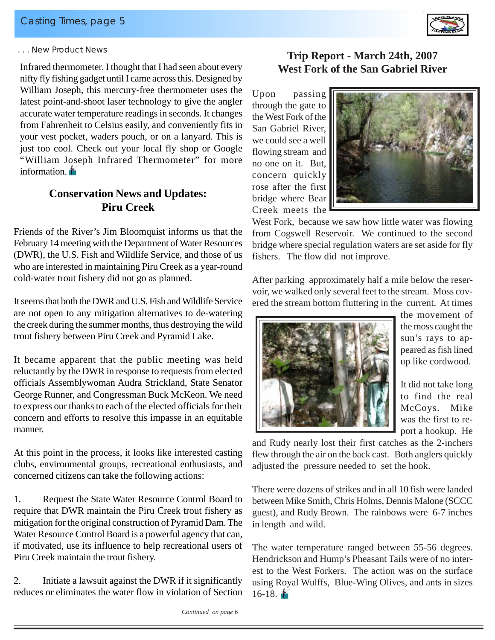

#### *. . . New Product News*

Infrared thermometer. I thought that I had seen about every nifty fly fishing gadget until I came across this. Designed by William Joseph, this mercury-free thermometer uses the latest point-and-shoot laser technology to give the angler accurate water temperature readings in seconds. It changes from Fahrenheit to Celsius easily, and conveniently fits in your vest pocket, waders pouch, or on a lanyard. This is just too cool. Check out your local fly shop or Google "William Joseph Infrared Thermometer" for more information.

# **Conservation News and Updates: Piru Creek**

Friends of the River's Jim Bloomquist informs us that the February 14 meeting with the Department of Water Resources (DWR), the U.S. Fish and Wildlife Service, and those of us who are interested in maintaining Piru Creek as a year-round cold-water trout fishery did not go as planned.

It seems that both the DWR and U.S. Fish and Wildlife Service are not open to any mitigation alternatives to de-watering the creek during the summer months, thus destroying the wild trout fishery between Piru Creek and Pyramid Lake.

It became apparent that the public meeting was held reluctantly by the DWR in response to requests from elected officials Assemblywoman Audra Strickland, State Senator George Runner, and Congressman Buck McKeon. We need to express our thanks to each of the elected officials for their concern and efforts to resolve this impasse in an equitable manner.

At this point in the process, it looks like interested casting clubs, environmental groups, recreational enthusiasts, and concerned citizens can take the following actions:

1. Request the State Water Resource Control Board to require that DWR maintain the Piru Creek trout fishery as mitigation for the original construction of Pyramid Dam. The Water Resource Control Board is a powerful agency that can, if motivated, use its influence to help recreational users of Piru Creek maintain the trout fishery.

2. Initiate a lawsuit against the DWR if it significantly reduces or eliminates the water flow in violation of Section

# **Trip Report - March 24th, 2007 West Fork of the San Gabriel River**

Upon passing through the gate to the West Fork of the San Gabriel River, we could see a well flowing stream and no one on it. But, concern quickly rose after the first bridge where Bear Creek meets the



West Fork, because we saw how little water was flowing from Cogswell Reservoir. We continued to the second bridge where special regulation waters are set aside for fly fishers. The flow did not improve.

After parking approximately half a mile below the reservoir, we walked only several feet to the stream. Moss covered the stream bottom fluttering in the current. At times



the movement of the moss caught the sun's rays to appeared as fish lined up like cordwood.

It did not take long to find the real McCoys. Mike was the first to report a hookup. He

and Rudy nearly lost their first catches as the 2-inchers flew through the air on the back cast. Both anglers quickly adjusted the pressure needed to set the hook.

There were dozens of strikes and in all 10 fish were landed between Mike Smith, Chris Holms, Dennis Malone (SCCC guest), and Rudy Brown. The rainbows were 6-7 inches in length and wild.

The water temperature ranged between 55-56 degrees. Hendrickson and Hump's Pheasant Tails were of no interest to the West Forkers. The action was on the surface using Royal Wulffs, Blue-Wing Olives, and ants in sizes 16-18. $\blacksquare$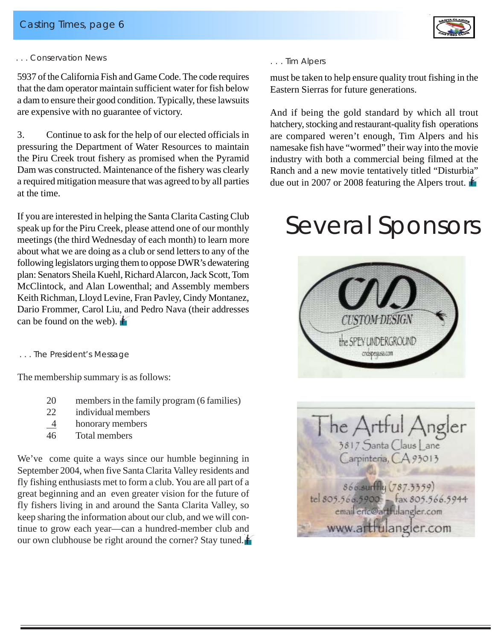

#### *. . . Conservation News*

5937 of the California Fish and Game Code. The code requires that the dam operator maintain sufficient water for fish below a dam to ensure their good condition. Typically, these lawsuits are expensive with no guarantee of victory.

3. Continue to ask for the help of our elected officials in pressuring the Department of Water Resources to maintain the Piru Creek trout fishery as promised when the Pyramid Dam was constructed. Maintenance of the fishery was clearly a required mitigation measure that was agreed to by all parties at the time.

If you are interested in helping the Santa Clarita Casting Club speak up for the Piru Creek, please attend one of our monthly meetings (the third Wednesday of each month) to learn more about what we are doing as a club or send letters to any of the following legislators urging them to oppose DWR's dewatering plan: Senators Sheila Kuehl, Richard Alarcon, Jack Scott, Tom McClintock, and Alan Lowenthal; and Assembly members Keith Richman, Lloyd Levine, Fran Pavley, Cindy Montanez, Dario Frommer, Carol Liu, and Pedro Nava (their addresses can be found on the web).

#### *. . . The President's Message*

The membership summary is as follows:

- 20 members in the family program (6 families)
- 22 individual members
- 4 honorary members
- 46 Total members

We've come quite a ways since our humble beginning in September 2004, when five Santa Clarita Valley residents and fly fishing enthusiasts met to form a club. You are all part of a great beginning and an even greater vision for the future of fly fishers living in and around the Santa Clarita Valley, so keep sharing the information about our club, and we will continue to grow each year—can a hundred-member club and our own clubhouse be right around the corner? Stay tuned.

#### *. . . Tim Alpers*

must be taken to help ensure quality trout fishing in the Eastern Sierras for future generations.

And if being the gold standard by which all trout hatchery, stocking and restaurant-quality fish operations are compared weren't enough, Tim Alpers and his namesake fish have "wormed" their way into the movie industry with both a commercial being filmed at the Ranch and a new movie tentatively titled "Disturbia" due out in 2007 or 2008 featuring the Alpers trout.

# *Several Sponsors*



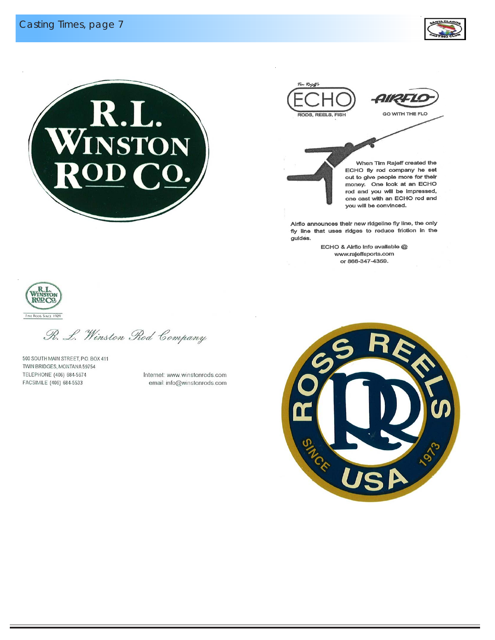





When Tim Rajeff created the ECHO fly rod company he set out to give people more for their money. One look at an ECHO rod and you will be impressed, one cast with an ECHO rod and you will be convinced.

Airflo announces their new ridgeline fly line, the only fly line that uses ridges to reduce friction in the guides.

ECHO & Airflo info available @ www.rajeffsports.com or 866-347-4359.



R. L. Winston Rod Company

500 SOUTH MAIN STREET, P.O. BOX 411 TWIN BRIDGES, MONTANA 59754 TELEPHONE (406) 684-5674 FACSIMILE (406) 684-5533

Internet: www.winstonrods.com email: info@winstonrods.com